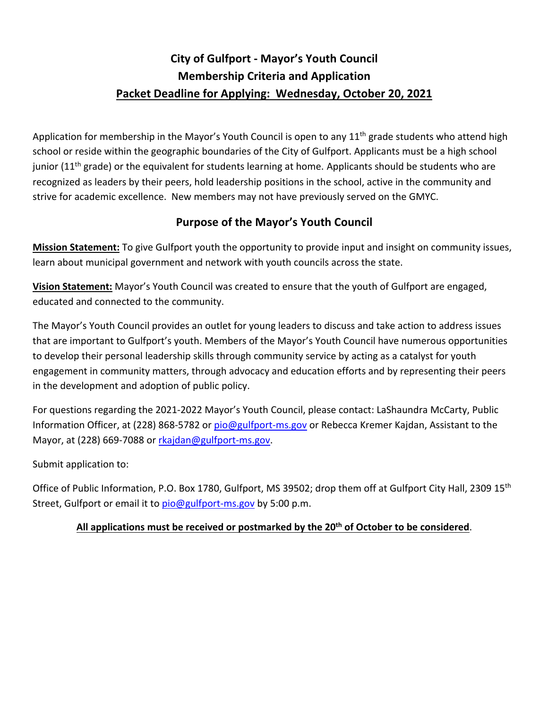## **City of Gulfport - Mayor's Youth Council Membership Criteria and Application Packet Deadline for Applying: Wednesday, October 20, 2021**

Application for membership in the Mayor's Youth Council is open to any  $11<sup>th</sup>$  grade students who attend high school or reside within the geographic boundaries of the City of Gulfport. Applicants must be a high school junior ( $11<sup>th</sup>$  grade) or the equivalent for students learning at home. Applicants should be students who are recognized as leaders by their peers, hold leadership positions in the school, active in the community and strive for academic excellence. New members may not have previously served on the GMYC.

## **Purpose of the Mayor's Youth Council**

**Mission Statement:** To give Gulfport youth the opportunity to provide input and insight on community issues, learn about municipal government and network with youth councils across the state.

**Vision Statement:** Mayor's Youth Council was created to ensure that the youth of Gulfport are engaged, educated and connected to the community.

The Mayor's Youth Council provides an outlet for young leaders to discuss and take action to address issues that are important to Gulfport's youth. Members of the Mayor's Youth Council have numerous opportunities to develop their personal leadership skills through community service by acting as a catalyst for youth engagement in community matters, through advocacy and education efforts and by representing their peers in the development and adoption of public policy.

For questions regarding the 2021-2022 Mayor's Youth Council, please contact: LaShaundra McCarty, Public Information Officer, at (228) 868-5782 or pio@gulfport-ms.gov or Rebecca Kremer Kajdan, Assistant to the Mayor, at (228) 669-7088 or rkajdan@gulfport-ms.gov.

Submit application to:

Office of Public Information, P.O. Box 1780, Gulfport, MS 39502; drop them off at Gulfport City Hall, 2309 15<sup>th</sup> Street, Gulfport or email it to pio@gulfport-ms.gov by 5:00 p.m.

## **All applications must be received or postmarked by the 20th of October to be considered**.